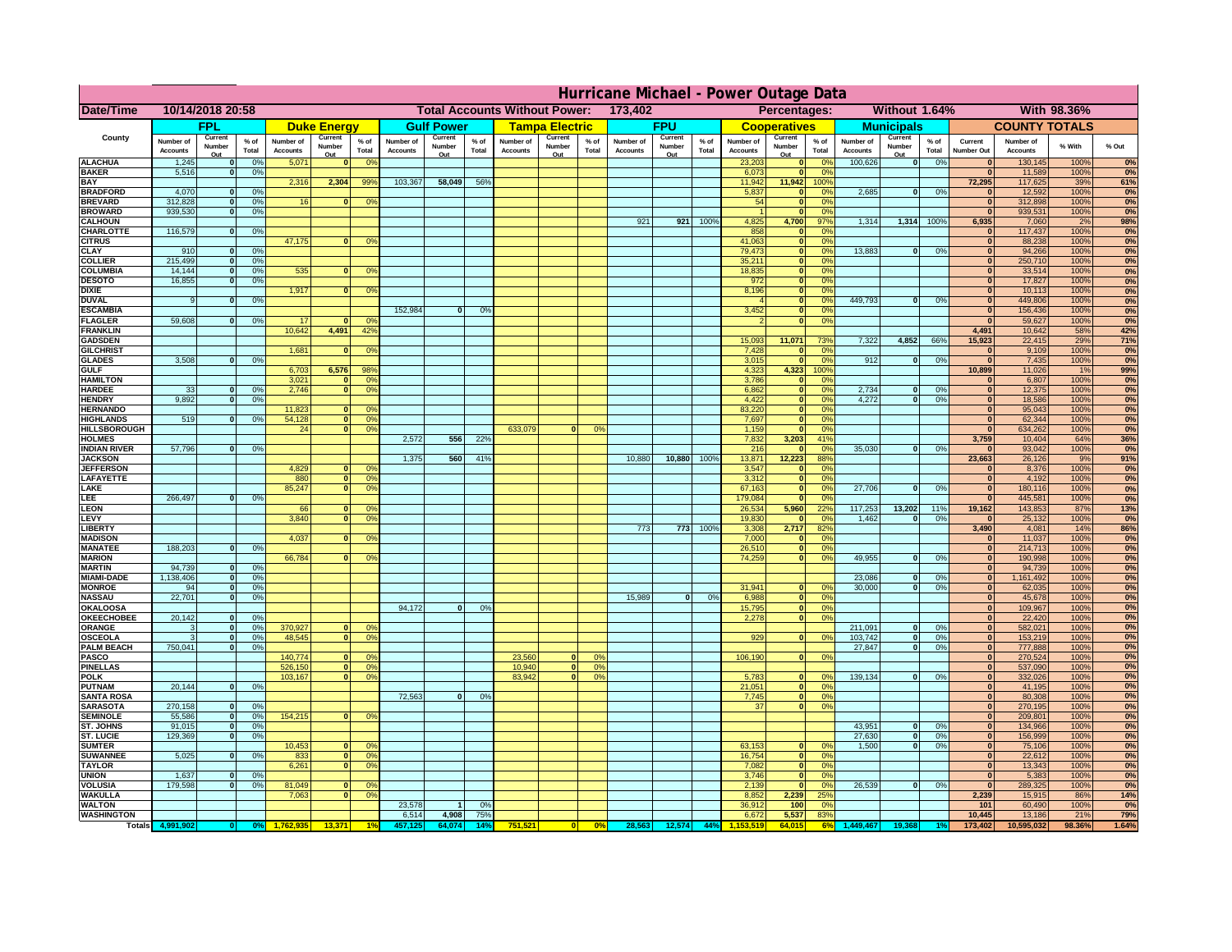|                                      | Hurricane Michael - Power Outage Data |                   |                                  |                              |                    |                                                 |                              |                   |                 |                              |                                              |                 |                              |                   |                 |                              |                              |                                  |                              |                         |                 |                                |                              |              |           |
|--------------------------------------|---------------------------------------|-------------------|----------------------------------|------------------------------|--------------------|-------------------------------------------------|------------------------------|-------------------|-----------------|------------------------------|----------------------------------------------|-----------------|------------------------------|-------------------|-----------------|------------------------------|------------------------------|----------------------------------|------------------------------|-------------------------|-----------------|--------------------------------|------------------------------|--------------|-----------|
| Date/Time                            | 10/14/2018 20:58                      |                   |                                  |                              |                    | <b>Total Accounts Without Power:</b><br>173,402 |                              |                   |                 |                              | Without 1.64%<br>With 98.36%<br>Percentages: |                 |                              |                   |                 |                              |                              |                                  |                              |                         |                 |                                |                              |              |           |
|                                      |                                       | <b>FPL</b>        |                                  |                              | <b>Duke Energy</b> |                                                 |                              | <b>Gulf Power</b> |                 |                              | <b>Tampa Electric</b>                        |                 |                              | <b>FPU</b>        |                 |                              | <b>Cooperatives</b>          |                                  |                              | <b>Municipals</b>       |                 |                                | <b>COUNTY TOTALS</b>         |              |           |
| County                               | Number of<br><b>Accounts</b>          | Current<br>Number | % of<br>Total                    | Number of<br><b>Accounts</b> | Current<br>Number  | $%$ of<br>Total                                 | Number of<br><b>Accounts</b> | Current<br>Number | $%$ of<br>Total | Number of<br><b>Accounts</b> | Current<br>Number                            | $%$ of<br>Total | Number of<br><b>Accounts</b> | Current<br>Number | $%$ of<br>Total | Number of<br><b>Accounts</b> | Current<br>Number            | $%$ of<br>Total                  | Number of<br><b>Accounts</b> | Current<br>Number       | $%$ of<br>Total | Current<br><b>Number Out</b>   | Number of<br><b>Accounts</b> | % With       | % Out     |
| <b>ALACHUA</b>                       | 1,245                                 | Out               | 0 <sup>9</sup>                   | 5,071                        | Out<br>$\bf{0}$    | 0 <sup>9</sup>                                  |                              | Out               |                 |                              | Out                                          |                 |                              | Out               |                 | 23,203                       | Out<br>$\mathbf{0}$          | 0 <sup>9</sup>                   | 100,626                      | Out<br> 0               | 0%              | $\bf{0}$                       | 130,145                      | 100%         | 0%        |
| <b>BAKER</b>                         | 5,516                                 |                   | 0%                               |                              |                    |                                                 |                              |                   |                 |                              |                                              |                 |                              |                   |                 | 6,073                        | ō                            | 0%                               |                              |                         |                 | $\mathbf{0}$                   | 11,589                       | 100%         | 0%        |
| <b>BAY</b><br><b>BRADFORD</b>        | 4,070                                 |                   | 0 <sup>9</sup>                   | 2,316                        | 2,304              | 99%                                             | 103,367                      | 58,049            | 56%             |                              |                                              |                 |                              |                   |                 | 11,942<br>5,837              | 11,942<br>$\mathbf{0}$       | 100%<br>0%                       | 2,685                        | $\overline{\mathbf{0}}$ | 0%              | 72,295<br>$\mathbf{0}$         | 117,625<br>12,592            | 39%<br>100%  | 61%       |
| <b>BREVARD</b>                       | 312,828                               |                   | 0 <sup>9</sup>                   | 16                           |                    | 0%<br>$\mathbf{0}$                              |                              |                   |                 |                              |                                              |                 |                              |                   |                 | 54                           | $\mathbf{0}$                 | 0%                               |                              |                         |                 | $\mathbf{0}$                   | 312,898                      | 100%         | 0%<br>0%  |
| <b>BROWARD</b>                       | 939.530                               |                   | 0 <sup>9</sup>                   |                              |                    |                                                 |                              |                   |                 |                              |                                              |                 |                              |                   |                 |                              | $\mathbf{0}$                 | 0%                               |                              |                         |                 | $\bf{0}$                       | 939,531                      | 100%         | 0%        |
| <b>CALHOUN</b>                       |                                       |                   |                                  |                              |                    |                                                 |                              |                   |                 |                              |                                              |                 | 921                          | 921               | 100%            | 4,825                        | 4,700                        | 97%                              | 1,314                        | 1,314 100%              |                 | 6,935                          | 7,060                        | 2%           | 98%       |
| CHARLOTTE                            | 116,579                               |                   | 0 <sup>9</sup>                   |                              |                    |                                                 |                              |                   |                 |                              |                                              |                 |                              |                   |                 | 858                          | $\mathbf 0$                  | 0%                               |                              |                         |                 | $\bf{0}$                       | 117,437                      | 100%         | 0%        |
| <b>CITRUS</b><br><b>CLAY</b>         | 910                                   |                   | 0 <sup>9</sup>                   | 47,175                       |                    | 0 <sup>9</sup><br>$\bf{0}$                      |                              |                   |                 |                              |                                              |                 |                              |                   |                 | 41,063<br>79,473             | $\mathbf{0}$<br>$\mathbf{0}$ | 0 <sup>9</sup><br>0 <sup>9</sup> | 13,883                       | $\mathbf{0}$            | 0%              | $\bf{0}$<br>$\bf{0}$           | 88,238<br>94,266             | 100%<br>100% | 0%<br>0%  |
| <b>COLLIER</b>                       | 215,499                               |                   | 0 <sup>9</sup>                   |                              |                    |                                                 |                              |                   |                 |                              |                                              |                 |                              |                   |                 | 35,211                       | $\mathbf{0}$                 | 0%                               |                              |                         |                 | $\bf{0}$                       | 250,710                      | 100%         | 0%        |
| <b>COLUMBIA</b>                      | 14,144                                |                   | 0 <sup>9</sup>                   | 535                          | $\bf{0}$           | 0 <sup>9</sup>                                  |                              |                   |                 |                              |                                              |                 |                              |                   |                 | 18,835                       | ō                            | 0%                               |                              |                         |                 | $\bf{0}$                       | 33,514                       | 100%         | 0%        |
| <b>DESOTO</b>                        | 16,855                                |                   | 0 <sup>9</sup>                   |                              |                    |                                                 |                              |                   |                 |                              |                                              |                 |                              |                   |                 | 972                          | ō                            | 0%                               |                              |                         |                 | $\bf{0}$                       | 17,827                       | 100%         | 0%        |
| <b>DIXIE</b>                         |                                       |                   |                                  | 1,917                        |                    | $\mathbf{0}$<br>0 <sup>o</sup>                  |                              |                   |                 |                              |                                              |                 |                              |                   |                 | 8,196                        | $\mathbf{0}$                 | nº                               |                              |                         |                 | $\Omega$                       | 10,113                       | 100%         | 0%        |
| <b>DUVAL</b>                         |                                       |                   | 0%                               |                              |                    |                                                 | 152,984                      | $\bf{0}$          |                 |                              |                                              |                 |                              |                   |                 | 3,452                        | $\mathbf{0}$                 | 0%<br>0%                         | 449.793                      | ol                      | 0%              | $\Omega$<br>$\mathbf{0}$       | 449,806                      | 100%         | 0%        |
| <b>ESCAMBIA</b><br><b>FLAGLER</b>    | 59,608                                |                   | 0%                               | 17                           | $\Omega$           | 0 <sup>9</sup>                                  |                              |                   | 0 <sup>9</sup>  |                              |                                              |                 |                              |                   |                 |                              | $\mathbf{0}$<br>$\bullet$    | 0%                               |                              |                         |                 | $\Omega$                       | 156,436<br>59,627            | 100%<br>100% | 0%<br>0%  |
| <b>FRANKLIN</b>                      |                                       |                   |                                  | 10,642                       | 4,491              | 42 <sup>o</sup>                                 |                              |                   |                 |                              |                                              |                 |                              |                   |                 |                              |                              |                                  |                              |                         |                 | 4,491                          | 10,642                       | 58%          | 42%       |
| <b>GADSDEN</b>                       |                                       |                   |                                  |                              |                    |                                                 |                              |                   |                 |                              |                                              |                 |                              |                   |                 | 15,093                       | 11,071                       | 73%                              | 7,322                        | 4,852                   | 66%             | 15,923                         | 22,415                       | 29%          | 71%       |
| <b>GILCHRIST</b>                     |                                       |                   |                                  | 1,681                        |                    | 0 <sup>9</sup><br>$\mathbf{0}$                  |                              |                   |                 |                              |                                              |                 |                              |                   |                 | 7,428                        | $\mathbf{0}$                 | 0%                               |                              |                         |                 | $\overline{\mathbf{0}}$        | 9,109                        | 100%         | 0%        |
| <b>GLADES</b>                        | 3,508                                 |                   | 0 <sup>9</sup>                   |                              |                    |                                                 |                              |                   |                 |                              |                                              |                 |                              |                   |                 | 3,015                        | $\bullet$                    | 0%                               | 912                          | 0                       | 0%              | 0                              | 7,435                        | 100%         | 0%        |
| <b>GULF</b><br><b>HAMILTON</b>       |                                       |                   |                                  | 6,703<br>3,021               | 6,576              | 98%<br>0 <sup>9</sup><br>n l                    |                              |                   |                 |                              |                                              |                 |                              |                   |                 | 4,323<br>3,786               | 4,323<br>$\mathbf{0}$        | 100%<br>0%                       |                              |                         |                 | 10,899<br>$\Omega$             | 11,026<br>6,807              | 1%<br>100%   | 99%<br>0% |
| <b>HARDEE</b>                        | 33                                    |                   | 0%                               | 2.746                        |                    | n l<br>0 <sup>9</sup>                           |                              |                   |                 |                              |                                              |                 |                              |                   |                 | 6.862                        | 0                            | 0%                               | 2.734                        | $\mathbf{0}$            | 0%              | 0                              | 12,375                       | 100%         | 0%        |
| <b>HENDRY</b>                        | 9.892                                 |                   | 0%                               |                              |                    |                                                 |                              |                   |                 |                              |                                              |                 |                              |                   |                 | 4.422                        | 0                            | 0%                               | 4.272                        | $\mathbf{0}$            | 0%              | 0                              | 18.586                       | 100%         | 0%        |
| <b>HERNANDO</b>                      |                                       |                   |                                  | 11,823                       |                    | <sup>o</sup><br>$\Omega$                        |                              |                   |                 |                              |                                              |                 |                              |                   |                 | 83,220                       | 0                            | 0%                               |                              |                         |                 | 0                              | 95,043                       | 100%         | 0%        |
| <b>HIGHLANDS</b>                     | 519                                   |                   | 0 <sup>9</sup>                   | 54,128                       |                    | $\overline{0}$<br>0%                            |                              |                   |                 |                              |                                              |                 |                              |                   |                 | 7,697                        | ō                            | 0%                               |                              |                         |                 | 0                              | 62,344                       | 100%         | 0%        |
| <b>HILLSBOROUGH</b><br><b>HOLMES</b> |                                       |                   |                                  | 24                           |                    | $\overline{0}$<br>0%                            | 2,572                        | 556               | 22%             | 633,079                      |                                              | 0 <sup>9</sup>  |                              |                   |                 | 1,159<br>7,832               | $\mathbf{0}$<br>3,203        | 0%<br>41%                        |                              |                         |                 | 0 <br>3,759                    | 634,262<br>10,404            | 100%<br>64%  | 0%<br>36% |
| <b>INDIAN RIVER</b>                  | 57,796                                |                   | 0%                               |                              |                    |                                                 |                              |                   |                 |                              |                                              |                 |                              |                   |                 | 216                          | $\mathbf{0}$                 | 0 <sup>9</sup>                   | 35,030                       | $\mathbf{0}$            | 0%              | $\bf{0}$                       | 93,042                       | 100%         | 0%        |
| <b>JACKSON</b>                       |                                       |                   |                                  |                              |                    |                                                 | 1,375                        | 560               | 41 <sup>°</sup> |                              |                                              |                 | 10,880                       | 10,880            | 100%            | 13,871                       | 12,223                       | 88%                              |                              |                         |                 | 23,663                         | 26,126                       | 9%           | 91%       |
| <b>JEFFERSON</b>                     |                                       |                   |                                  | 4,829                        |                    | οI<br>0 <sup>9</sup>                            |                              |                   |                 |                              |                                              |                 |                              |                   |                 | 3,547                        | $\mathbf 0$                  | 0%                               |                              |                         |                 | $\Omega$                       | 8,376                        | 100%         | 0%        |
| LAFAYETTE                            |                                       |                   |                                  | 880                          |                    | $\overline{0}$<br>0%                            |                              |                   |                 |                              |                                              |                 |                              |                   |                 | 3,312                        | $\mathbf{0}$                 | 0%                               |                              |                         |                 | 0                              | 4,192                        | 100%         | 0%        |
| LAKE<br>LEE                          | 266,497                               |                   | 0%                               | 85,247                       |                    | $\overline{0}$<br>0%                            |                              |                   |                 |                              |                                              |                 |                              |                   |                 | 67,163<br>179,084            | $\mathbf{0}$<br>$\mathbf{0}$ | 0%<br>0%                         | 27,706                       | $\Omega$                | 0%              | 0 <br> 0                       | 180,116<br>445,581           | 100%<br>100% | 0%<br>0%  |
| <b>LEON</b>                          |                                       |                   |                                  | 66                           |                    | $\Omega$<br>O <sup>9</sup>                      |                              |                   |                 |                              |                                              |                 |                              |                   |                 | 26,534                       | 5,960                        | 22%                              | 117,253                      | 13,202                  | 11%             | 19,162                         | 143,853                      | 87%          | 13%       |
| LEVY                                 |                                       |                   |                                  | 3,840                        |                    | 0 <sup>9</sup><br>$\Omega$                      |                              |                   |                 |                              |                                              |                 |                              |                   |                 | 19,830                       | $\mathbf{0}$                 | 0%                               | 1,462                        | $\mathbf{0}$            | 0%              | 0                              | 25,132                       | 100%         | 0%        |
| LIBERTY                              |                                       |                   |                                  |                              |                    |                                                 |                              |                   |                 |                              |                                              |                 | 773                          | 773               | 100%            | 3,308                        | 2,717                        | 82%                              |                              |                         |                 | 3,490                          | 4,081                        | 14%          | 86%       |
| <b>MADISON</b>                       |                                       |                   |                                  | 4,037                        |                    | <sup>o</sup><br>0 <sup>9</sup>                  |                              |                   |                 |                              |                                              |                 |                              |                   |                 | 7,000                        | $\mathbf{0}$                 | 0%                               |                              |                         |                 | 0                              | 11,037                       | 100%         | 0%        |
| <b>MANATEE</b>                       | 188,203                               | $\Omega$          | 0%                               |                              |                    |                                                 |                              |                   |                 |                              |                                              |                 |                              |                   |                 | 26,510                       | 0                            | 0%                               | 49,955                       | $\Omega$                |                 | 0                              | 214,713                      | 100%         | 0%<br>0%  |
| <b>MARION</b><br><b>MARTIN</b>       | 94,739                                | $\Omega$          | 0 <sup>9</sup>                   | 66,784                       |                    | 0°                                              |                              |                   |                 |                              |                                              |                 |                              |                   |                 | 74,259                       |                              | 0 <br>0%                         |                              |                         | 0%              | 0 <br> 0                       | 190,998<br>94,739            | 100%<br>100% | 0%        |
| <b>MIAMI-DADE</b>                    | 1,138,406                             | $\mathbf{o}$      | 0 <sup>9</sup>                   |                              |                    |                                                 |                              |                   |                 |                              |                                              |                 |                              |                   |                 |                              |                              |                                  | 23,086                       | $\mathbf 0$             | 0%              | 0                              | 1,161,492                    | 100%         | 0%        |
| <b>MONROE</b>                        | 94                                    | 0                 | 0%                               |                              |                    |                                                 |                              |                   |                 |                              |                                              |                 |                              |                   |                 | 31,941                       | $\mathbf{0}$                 | 0 <sup>9</sup>                   | 30,000                       | $\mathbf{0}$            | 0%              | 0                              | 62,035                       | 100%         | 0%        |
| <b>NASSAU</b>                        | 22,701                                | $\Omega$          | 0%                               |                              |                    |                                                 |                              |                   |                 |                              |                                              |                 | 15,989                       | 0                 | 0%              | 6,988                        |                              | 0 <br>0%                         |                              |                         |                 | 0                              | 45,678                       | 100%         | 0%        |
| OKALOOSA                             |                                       |                   |                                  |                              |                    |                                                 | 94,172                       | $\bf{0}$          | 0%              |                              |                                              |                 |                              |                   |                 | 15,795                       | 0                            | 0%                               |                              |                         |                 | 0                              | 109,967                      | 100%         | 0%        |
| <b>OKEECHOBEE</b><br>ORANGE          | 20,142                                | $\Omega$          | 0 <sup>9</sup><br>0 <sup>9</sup> | 370,927                      |                    | $\Omega$<br>0 <sup>6</sup>                      |                              |                   |                 |                              |                                              |                 |                              |                   |                 | 2,278                        |                              | 0%<br> 0                         | 211,091                      | $\mathbf{0}$            | 0%              | 0 <br> 0                       | 22,420<br>582,021            | 100%<br>100% | 0%<br>0%  |
| <b>OSCEOLA</b>                       |                                       | $\Omega$          | 0 <sup>9</sup>                   | 48,545                       |                    | $\overline{0}$<br>$\Omega$                      |                              |                   |                 |                              |                                              |                 |                              |                   |                 | 929                          |                              | 0 <br>0 <sup>9</sup>             | 103,742                      | 0                       | 0%              | 0                              | 153,219                      | 100%         | 0%        |
| <b>PALM BEACH</b>                    | 750,041                               | $\Omega$          | 0 <sup>9</sup>                   |                              |                    |                                                 |                              |                   |                 |                              |                                              |                 |                              |                   |                 |                              |                              |                                  | 27,847                       | ol                      | 0%              | 0                              | 777,888                      | 100%         | 0%        |
| PASCO                                |                                       |                   |                                  | 140,774                      |                    | $\Omega$<br>$^{\circ}$                          |                              |                   |                 | 23,560                       | $\Omega$                                     | 0%              |                              |                   |                 | 106,190                      |                              | 0 <br>0%                         |                              |                         |                 | 0                              | 270,524                      | 100%         | 0%        |
| <b>PINELLAS</b>                      |                                       |                   |                                  | 526,150                      |                    | 0 <sup>9</sup><br> 0                            |                              |                   |                 | 10,940                       | $\overline{\mathbf{0}}$                      | 0%              |                              |                   |                 |                              |                              |                                  |                              |                         |                 | $\Omega$                       | 537,090                      | 100%         | 0%        |
| <b>POLK</b><br><b>PUTNAM</b>         | 20,144                                | $\mathbf{0}$      | 0%                               | 103,167                      |                    | 0 <sup>9</sup><br> 0                            |                              |                   |                 | 83,942                       | 0                                            | 0%              |                              |                   |                 | 5,783<br>21,051              | 0 <br> 0                     | nº<br>0%                         | 139,134                      | 0                       | 0%              | 0 <br>$\bf{0}$                 | 332,026<br>41,195            | 100%<br>100% | 0%<br>0%  |
| <b>SANTA ROSA</b>                    |                                       |                   |                                  |                              |                    |                                                 | 72,563                       | 0                 | 0%              |                              |                                              |                 |                              |                   |                 | 7,745                        |                              | 0 <br>0%                         |                              |                         |                 | $\mathbf{0}$                   | 80,308                       | 100%         | 0%        |
| <b>SARASOTA</b>                      | 270,158                               | $\Omega$          | 0%                               |                              |                    |                                                 |                              |                   |                 |                              |                                              |                 |                              |                   |                 | 37                           |                              | 0 <br>0%                         |                              |                         |                 | $\mathbf{0}$                   | 270,195                      | 100%         | 0%        |
| <b>SEMINOLE</b>                      | 55,586                                | $\mathbf{0}$      | 0 <sup>9</sup>                   | 154,215                      |                    | $\mathbf{0}$<br>0 <sup>9</sup>                  |                              |                   |                 |                              |                                              |                 |                              |                   |                 |                              |                              |                                  |                              |                         |                 | $\mathbf{0}$                   | 209,801                      | 100%         | 0%        |
| <b>ST. JOHNS</b>                     | 91.015                                | $\Omega$          | 0 <sup>9</sup>                   |                              |                    |                                                 |                              |                   |                 |                              |                                              |                 |                              |                   |                 |                              |                              |                                  | 43,951                       | -ol                     | 0%              | 0                              | 134,966                      | 100%         | 0%        |
| <b>ST. LUCIE</b>                     | 129.369                               | $\Omega$          | 0%                               | 10,453                       |                    | $\Omega$                                        |                              |                   |                 |                              |                                              |                 |                              |                   |                 |                              | $\mathbf{0}$                 |                                  | 27.630<br>1.500              | - O I                   | 0%<br>0%        | 0                              | 156.999                      | 100%         | 0%<br>0%  |
| <b>SUMTER</b><br><b>SUWANNEE</b>     | 5,025                                 | $\Omega$          | 0%                               | 833                          |                    | $\mathbf{0}$<br>0 <sup>9</sup><br> 0            |                              |                   |                 |                              |                                              |                 |                              |                   |                 | 63,153<br>16,754             | 0                            | 0%<br>0%                         |                              | 0                       |                 | $\overline{0}$<br>$\mathbf{0}$ | 75,106<br>22,612             | 100%<br>100% | 0%        |
| <b>TAYLOR</b>                        |                                       |                   |                                  | 6,261                        |                    | 0 <br>0 <sup>9</sup>                            |                              |                   |                 |                              |                                              |                 |                              |                   |                 | 7,082                        | 0                            | 0%                               |                              |                         |                 | $\bf{0}$                       | 13,343                       | 100%         | 0%        |
| <b>UNION</b>                         | 1,637                                 |                   | 0 <sup>9</sup>                   |                              |                    |                                                 |                              |                   |                 |                              |                                              |                 |                              |                   |                 | 3,746                        | $\mathbf 0$                  | 0%                               |                              |                         |                 | $\bf{0}$                       | 5,383                        | 100%         | 0%        |
| VOLUSIA                              | 179,598                               |                   | 0 <sup>9</sup>                   | 81,049                       |                    | $\mathbf{0}$<br>0 <sup>6</sup>                  |                              |                   |                 |                              |                                              |                 |                              |                   |                 | 2,139                        | $\mathbf 0$                  | 0%                               | 26,539                       | 0                       | 0%              | $\bf{0}$                       | 289,325                      | 100%         | 0%        |
| <b>WAKULLA</b>                       |                                       |                   |                                  | 7,063                        |                    | 0 <sup>9</sup><br>$\mathbf{0}$                  | 23,578                       |                   |                 |                              |                                              |                 |                              |                   |                 | 8,852                        | 2,239                        | 25%                              |                              |                         |                 | 2,239                          | 15,915                       | 86%          | 14%       |
| <b>WALTON</b><br><b>WASHINGTON</b>   |                                       |                   |                                  |                              |                    |                                                 | 6,514                        | 4,908             | 0%<br>75%       |                              |                                              |                 |                              |                   |                 | 36,912<br>6,672              | 100<br>5,537                 | 0%<br>83%                        |                              |                         |                 | 101<br>10,445                  | 60,490<br>13,186             | 100%<br>21%  | 0%<br>79% |
| Totals 4,9                           |                                       |                   |                                  |                              |                    |                                                 |                              | 64.074            | $14^{\circ}$    | 751,521                      |                                              | 0%              | 28,563                       | 12,574            | 44%             |                              | 64,01                        |                                  |                              |                         |                 | 173,402                        | 10,595,032                   | 98.36%       | 1.64%     |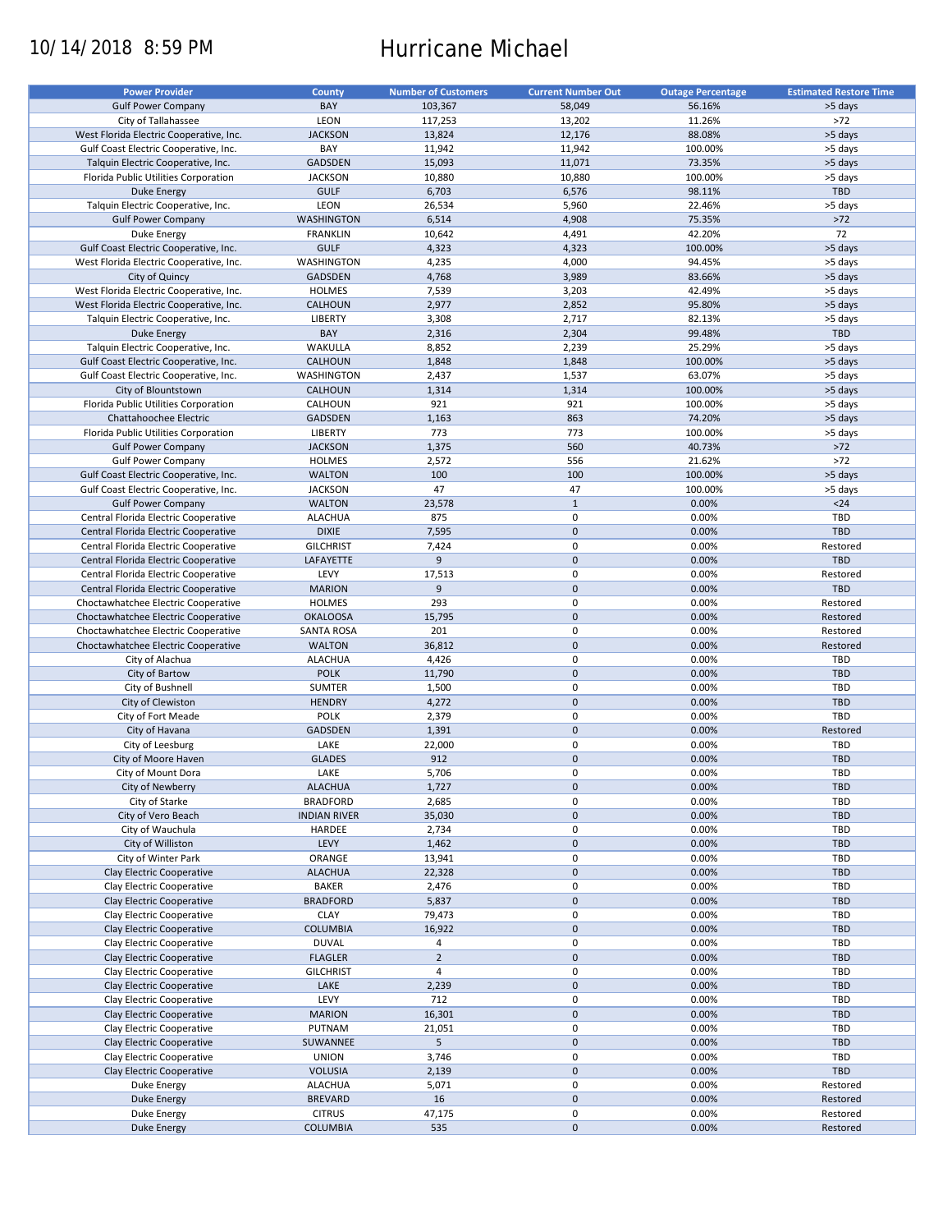# 10/14/2018 8:59 PM Hurricane Michael

| <b>Power Provider</b>                   | <b>County</b>       | <b>Number of Customers</b> | <b>Current Number Out</b> | <b>Outage Percentage</b> | <b>Estimated Restore Time</b> |
|-----------------------------------------|---------------------|----------------------------|---------------------------|--------------------------|-------------------------------|
| <b>Gulf Power Company</b>               | BAY                 | 103,367                    | 58,049                    | 56.16%                   | >5 days                       |
| City of Tallahassee                     | LEON                | 117,253                    | 13,202                    | 11.26%                   | $>72$                         |
| West Florida Electric Cooperative, Inc. | <b>JACKSON</b>      | 13,824                     | 12,176                    | 88.08%                   | >5 days                       |
| Gulf Coast Electric Cooperative, Inc.   | BAY                 | 11,942                     | 11,942                    | 100.00%                  | >5 days                       |
| Talquin Electric Cooperative, Inc.      | GADSDEN             | 15,093                     | 11,071                    | 73.35%                   | >5 days                       |
| Florida Public Utilities Corporation    |                     |                            |                           |                          |                               |
|                                         | <b>JACKSON</b>      | 10,880                     | 10,880                    | 100.00%                  | >5 days                       |
| Duke Energy                             | <b>GULF</b>         | 6,703                      | 6,576                     | 98.11%                   | <b>TBD</b>                    |
| Talquin Electric Cooperative, Inc.      | LEON                | 26,534                     | 5,960                     | 22.46%                   | >5 days                       |
| <b>Gulf Power Company</b>               | <b>WASHINGTON</b>   | 6,514                      | 4,908                     | 75.35%                   | $>72$                         |
| Duke Energy                             | <b>FRANKLIN</b>     | 10,642                     | 4,491                     | 42.20%                   | 72                            |
| Gulf Coast Electric Cooperative, Inc.   | <b>GULF</b>         | 4,323                      | 4,323                     | 100.00%                  | >5 days                       |
| West Florida Electric Cooperative, Inc. | WASHINGTON          | 4,235                      | 4,000                     | 94.45%                   | >5 days                       |
| City of Quincy                          | <b>GADSDEN</b>      | 4,768                      | 3,989                     | 83.66%                   | >5 days                       |
| West Florida Electric Cooperative, Inc. | <b>HOLMES</b>       | 7,539                      | 3,203                     | 42.49%                   | >5 days                       |
| West Florida Electric Cooperative, Inc. | <b>CALHOUN</b>      | 2,977                      | 2,852                     | 95.80%                   | >5 days                       |
| Talquin Electric Cooperative, Inc.      | <b>LIBERTY</b>      | 3,308                      | 2,717                     | 82.13%                   | >5 days                       |
| Duke Energy                             | BAY                 | 2,316                      | 2,304                     | 99.48%                   | TBD                           |
| Talquin Electric Cooperative, Inc.      | WAKULLA             | 8,852                      | 2,239                     | 25.29%                   | >5 days                       |
| Gulf Coast Electric Cooperative, Inc.   | CALHOUN             | 1,848                      | 1,848                     | 100.00%                  | >5 days                       |
| Gulf Coast Electric Cooperative, Inc.   | WASHINGTON          | 2,437                      | 1,537                     | 63.07%                   | >5 days                       |
| City of Blountstown                     | <b>CALHOUN</b>      | 1,314                      | 1,314                     | 100.00%                  | >5 days                       |
| Florida Public Utilities Corporation    |                     | 921                        | 921                       |                          |                               |
|                                         | CALHOUN             |                            |                           | 100.00%                  | >5 days                       |
| Chattahoochee Electric                  | <b>GADSDEN</b>      | 1,163                      | 863                       | 74.20%                   | >5 days                       |
| Florida Public Utilities Corporation    | <b>LIBERTY</b>      | 773                        | 773                       | 100.00%                  | >5 days                       |
| <b>Gulf Power Company</b>               | <b>JACKSON</b>      | 1,375                      | 560                       | 40.73%                   | $>72$                         |
| <b>Gulf Power Company</b>               | <b>HOLMES</b>       | 2,572                      | 556                       | 21.62%                   | $>72$                         |
| Gulf Coast Electric Cooperative, Inc.   | <b>WALTON</b>       | 100                        | 100                       | 100.00%                  | >5 days                       |
| Gulf Coast Electric Cooperative, Inc.   | <b>JACKSON</b>      | 47                         | 47                        | 100.00%                  | >5 days                       |
| <b>Gulf Power Company</b>               | <b>WALTON</b>       | 23,578                     | $\mathbf{1}$              | 0.00%                    | $24$                          |
| Central Florida Electric Cooperative    | <b>ALACHUA</b>      | 875                        | $\mathbf 0$               | 0.00%                    | TBD                           |
| Central Florida Electric Cooperative    | <b>DIXIE</b>        | 7,595                      | $\mathbf 0$               | 0.00%                    | <b>TBD</b>                    |
| Central Florida Electric Cooperative    | <b>GILCHRIST</b>    | 7,424                      | 0                         | 0.00%                    | Restored                      |
|                                         |                     | 9                          | $\mathbf 0$               |                          | <b>TBD</b>                    |
| Central Florida Electric Cooperative    | LAFAYETTE           |                            |                           | 0.00%                    |                               |
| Central Florida Electric Cooperative    | LEVY                | 17,513                     | $\pmb{0}$                 | 0.00%                    | Restored                      |
| Central Florida Electric Cooperative    | <b>MARION</b>       | 9                          | $\mathbf 0$               | 0.00%                    | <b>TBD</b>                    |
| Choctawhatchee Electric Cooperative     | <b>HOLMES</b>       | 293                        | 0                         | 0.00%                    | Restored                      |
| Choctawhatchee Electric Cooperative     | <b>OKALOOSA</b>     | 15,795                     | $\mathbf 0$               | 0.00%                    | Restored                      |
| Choctawhatchee Electric Cooperative     | <b>SANTA ROSA</b>   | 201                        | 0                         | 0.00%                    | Restored                      |
| Choctawhatchee Electric Cooperative     | <b>WALTON</b>       | 36,812                     | $\mathbf 0$               | 0.00%                    | Restored                      |
| City of Alachua                         | <b>ALACHUA</b>      | 4,426                      | 0                         | 0.00%                    | TBD                           |
| City of Bartow                          | <b>POLK</b>         | 11,790                     | $\mathbf 0$               | 0.00%                    | <b>TBD</b>                    |
| City of Bushnell                        | SUMTER              | 1,500                      | $\pmb{0}$                 | 0.00%                    | TBD                           |
| City of Clewiston                       | <b>HENDRY</b>       | 4,272                      | $\mathbf 0$               | 0.00%                    | TBD                           |
| City of Fort Meade                      | <b>POLK</b>         | 2,379                      | 0                         | 0.00%                    | TBD                           |
| City of Havana                          | <b>GADSDEN</b>      | 1,391                      | $\mathbf 0$               | 0.00%                    | Restored                      |
|                                         |                     |                            | $\pmb{0}$                 |                          |                               |
| City of Leesburg                        | LAKE                | 22,000                     |                           | 0.00%                    | TBD                           |
| City of Moore Haven                     | <b>GLADES</b>       | 912                        | $\mathbf 0$               | 0.00%                    | <b>TBD</b>                    |
| City of Mount Dora                      | LAKE                | 5,706                      | $\mathbf 0$               | 0.00%                    | TBD                           |
| City of Newberry                        | <b>ALACHUA</b>      | 1,727                      | $\mathsf{O}\xspace$       | 0.00%                    | <b>TBD</b>                    |
| City of Starke                          | <b>BRADFORD</b>     | 2,685                      | 0                         | 0.00%                    | TBD                           |
| City of Vero Beach                      | <b>INDIAN RIVER</b> | 35,030                     | $\mathsf{O}\xspace$       | 0.00%                    | <b>TBD</b>                    |
| City of Wauchula                        | HARDEE              | 2,734                      | 0                         | 0.00%                    | TBD                           |
| City of Williston                       | LEVY                | 1,462                      | $\pmb{0}$                 | 0.00%                    | <b>TBD</b>                    |
| City of Winter Park                     | ORANGE              | 13,941                     | 0                         | 0.00%                    | TBD                           |
| Clay Electric Cooperative               | <b>ALACHUA</b>      | 22,328                     | $\pmb{0}$                 | 0.00%                    | <b>TBD</b>                    |
| Clay Electric Cooperative               | BAKER               | 2,476                      | 0                         | 0.00%                    | TBD                           |
| Clay Electric Cooperative               | <b>BRADFORD</b>     | 5,837                      | $\pmb{0}$                 | 0.00%                    | TBD                           |
| Clay Electric Cooperative               | <b>CLAY</b>         | 79,473                     | $\pmb{0}$                 | 0.00%                    | TBD                           |
|                                         |                     |                            |                           |                          |                               |
| Clay Electric Cooperative               | <b>COLUMBIA</b>     | 16,922                     | $\mathsf{O}\xspace$       | 0.00%                    | <b>TBD</b>                    |
| Clay Electric Cooperative               | <b>DUVAL</b>        | 4                          | 0                         | 0.00%                    | TBD                           |
| Clay Electric Cooperative               | <b>FLAGLER</b>      | $\overline{2}$             | $\mathsf{O}\xspace$       | 0.00%                    | <b>TBD</b>                    |
| Clay Electric Cooperative               | <b>GILCHRIST</b>    | $\overline{4}$             | 0                         | 0.00%                    | TBD                           |
| Clay Electric Cooperative               | LAKE                | 2,239                      | $\pmb{0}$                 | 0.00%                    | <b>TBD</b>                    |
| Clay Electric Cooperative               | LEVY                | 712                        | 0                         | 0.00%                    | TBD                           |
| Clay Electric Cooperative               | <b>MARION</b>       | 16,301                     | $\pmb{0}$                 | 0.00%                    | <b>TBD</b>                    |
| Clay Electric Cooperative               | PUTNAM              | 21,051                     | 0                         | 0.00%                    | TBD                           |
| Clay Electric Cooperative               | SUWANNEE            | 5                          | $\pmb{0}$                 | 0.00%                    | <b>TBD</b>                    |
| Clay Electric Cooperative               | <b>UNION</b>        | 3,746                      | $\pmb{0}$                 | 0.00%                    | TBD                           |
| Clay Electric Cooperative               | <b>VOLUSIA</b>      | 2,139                      | $\pmb{0}$                 | 0.00%                    | TBD                           |
|                                         | <b>ALACHUA</b>      |                            | $\pmb{0}$                 | 0.00%                    | Restored                      |
| Duke Energy                             |                     | 5,071                      |                           |                          |                               |
| Duke Energy                             | <b>BREVARD</b>      | 16                         | $\pmb{0}$                 | 0.00%                    | Restored                      |
| Duke Energy                             | <b>CITRUS</b>       | 47,175                     | 0                         | 0.00%                    | Restored                      |
| Duke Energy                             | <b>COLUMBIA</b>     | 535                        | $\pmb{0}$                 | 0.00%                    | Restored                      |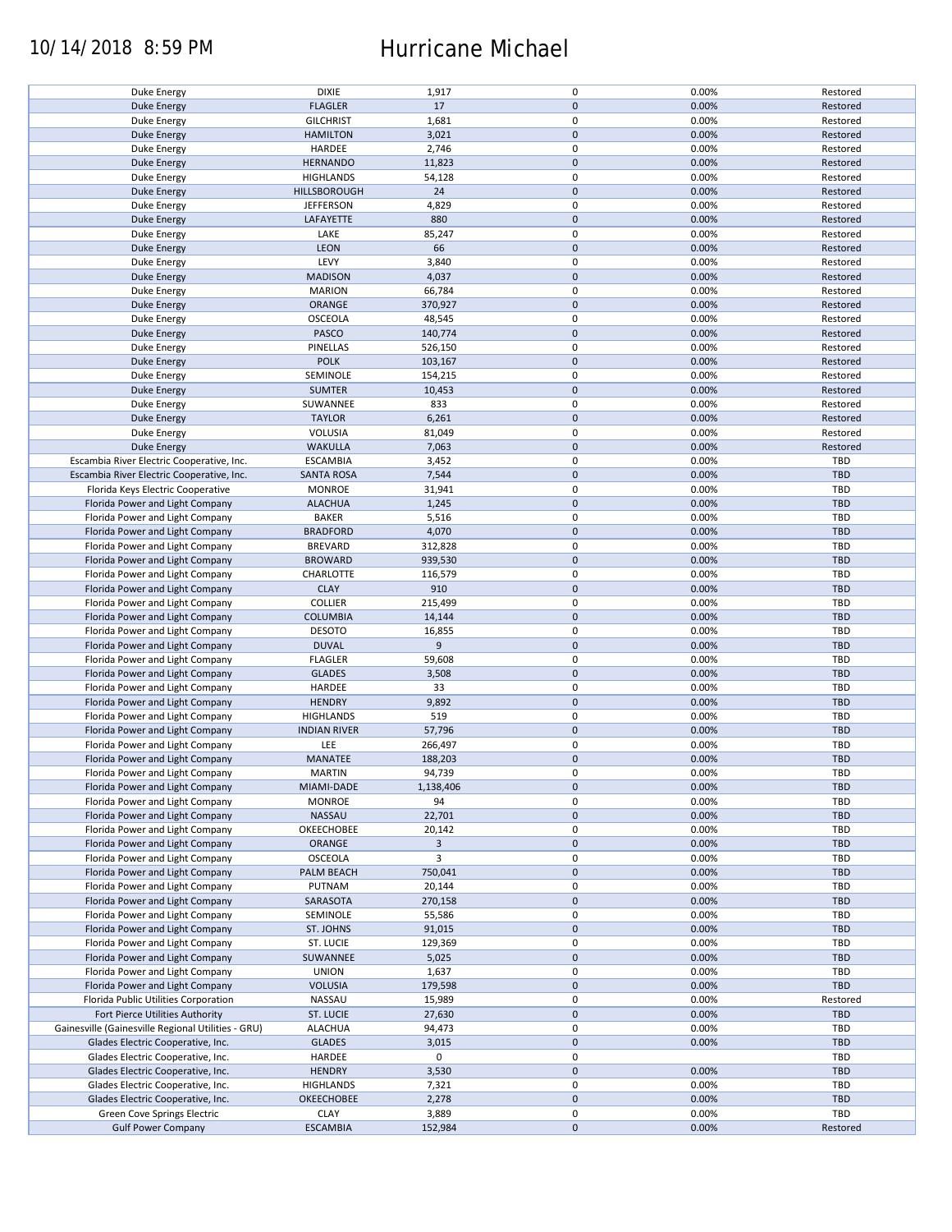## 10/14/2018 8:59 PM Hurricane Michael

| Duke Energy                                        | <b>DIXIE</b>        | 1,917          | 0                   | 0.00% | Restored   |
|----------------------------------------------------|---------------------|----------------|---------------------|-------|------------|
| <b>Duke Energy</b>                                 | <b>FLAGLER</b>      | 17             | $\mathbf 0$         | 0.00% | Restored   |
| <b>Duke Energy</b>                                 | <b>GILCHRIST</b>    | 1,681          | 0                   | 0.00% | Restored   |
|                                                    |                     |                |                     |       |            |
| <b>Duke Energy</b>                                 | <b>HAMILTON</b>     | 3,021          | $\mathbf 0$         | 0.00% | Restored   |
| Duke Energy                                        | HARDEE              | 2,746          | 0                   | 0.00% | Restored   |
| <b>Duke Energy</b>                                 | <b>HERNANDO</b>     | 11,823         | $\mathbf 0$         | 0.00% | Restored   |
|                                                    |                     |                |                     |       |            |
| Duke Energy                                        | <b>HIGHLANDS</b>    | 54,128         | 0                   | 0.00% | Restored   |
| <b>Duke Energy</b>                                 | HILLSBOROUGH        | 24             | $\mathbf 0$         | 0.00% | Restored   |
|                                                    | <b>JEFFERSON</b>    |                | 0                   | 0.00% | Restored   |
| Duke Energy                                        |                     | 4,829          |                     |       |            |
| Duke Energy                                        | LAFAYETTE           | 880            | $\mathbf 0$         | 0.00% | Restored   |
| Duke Energy                                        | LAKE                | 85,247         | 0                   | 0.00% | Restored   |
| <b>Duke Energy</b>                                 | LEON                | 66             | $\mathbf 0$         | 0.00% | Restored   |
|                                                    |                     |                |                     |       |            |
| Duke Energy                                        | LEVY                | 3,840          | 0                   | 0.00% | Restored   |
| <b>Duke Energy</b>                                 | <b>MADISON</b>      | 4,037          | $\mathbf 0$         | 0.00% | Restored   |
| Duke Energy                                        | <b>MARION</b>       | 66,784         | 0                   | 0.00% | Restored   |
|                                                    |                     |                |                     |       |            |
| <b>Duke Energy</b>                                 | <b>ORANGE</b>       | 370,927        | $\mathbf 0$         | 0.00% | Restored   |
| Duke Energy                                        | OSCEOLA             | 48,545         | 0                   | 0.00% | Restored   |
| <b>Duke Energy</b>                                 | PASCO               | 140,774        | $\pmb{0}$           | 0.00% | Restored   |
|                                                    |                     |                |                     |       |            |
| Duke Energy                                        | PINELLAS            | 526,150        | 0                   | 0.00% | Restored   |
| <b>Duke Energy</b>                                 | <b>POLK</b>         | 103,167        | $\pmb{0}$           | 0.00% | Restored   |
| Duke Energy                                        | SEMINOLE            | 154,215        | $\pmb{0}$           | 0.00% | Restored   |
|                                                    |                     |                |                     |       |            |
| <b>Duke Energy</b>                                 | <b>SUMTER</b>       | 10,453         | $\pmb{0}$           | 0.00% | Restored   |
| Duke Energy                                        | SUWANNEE            | 833            | $\pmb{0}$           | 0.00% | Restored   |
| <b>Duke Energy</b>                                 | <b>TAYLOR</b>       | 6,261          | $\pmb{0}$           | 0.00% | Restored   |
|                                                    |                     |                |                     |       |            |
| <b>Duke Energy</b>                                 | VOLUSIA             | 81,049         | 0                   | 0.00% | Restored   |
| <b>Duke Energy</b>                                 | <b>WAKULLA</b>      | 7,063          | $\pmb{0}$           | 0.00% | Restored   |
|                                                    |                     |                | 0                   |       |            |
| Escambia River Electric Cooperative, Inc.          | <b>ESCAMBIA</b>     | 3,452          |                     | 0.00% | TBD        |
| Escambia River Electric Cooperative, Inc.          | <b>SANTA ROSA</b>   | 7,544          | $\mathbf 0$         | 0.00% | <b>TBD</b> |
| Florida Keys Electric Cooperative                  | <b>MONROE</b>       | 31,941         | 0                   | 0.00% | <b>TBD</b> |
| Florida Power and Light Company                    |                     |                | $\pmb{0}$           |       |            |
|                                                    | <b>ALACHUA</b>      | 1,245          |                     | 0.00% | <b>TBD</b> |
| Florida Power and Light Company                    | <b>BAKER</b>        | 5,516          | 0                   | 0.00% | TBD        |
| Florida Power and Light Company                    | <b>BRADFORD</b>     | 4,070          | $\pmb{0}$           | 0.00% | <b>TBD</b> |
|                                                    |                     |                |                     |       |            |
| Florida Power and Light Company                    | <b>BREVARD</b>      | 312,828        | 0                   | 0.00% | TBD        |
| Florida Power and Light Company                    | <b>BROWARD</b>      | 939,530        | $\pmb{0}$           | 0.00% | <b>TBD</b> |
| Florida Power and Light Company                    | CHARLOTTE           | 116,579        | 0                   | 0.00% | TBD        |
|                                                    |                     |                |                     |       |            |
| Florida Power and Light Company                    | <b>CLAY</b>         | 910            | $\pmb{0}$           | 0.00% | <b>TBD</b> |
| Florida Power and Light Company                    | <b>COLLIER</b>      | 215,499        | 0                   | 0.00% | TBD        |
| Florida Power and Light Company                    | <b>COLUMBIA</b>     | 14,144         | $\mathsf{O}\xspace$ | 0.00% | <b>TBD</b> |
|                                                    |                     |                |                     |       |            |
| Florida Power and Light Company                    | <b>DESOTO</b>       | 16,855         | 0                   | 0.00% | TBD        |
| Florida Power and Light Company                    | <b>DUVAL</b>        | 9              | $\mathsf{O}\xspace$ | 0.00% | <b>TBD</b> |
| Florida Power and Light Company                    | <b>FLAGLER</b>      | 59,608         | 0                   | 0.00% | <b>TBD</b> |
|                                                    |                     |                |                     |       |            |
| Florida Power and Light Company                    | <b>GLADES</b>       | 3,508          | $\mathbf 0$         | 0.00% | <b>TBD</b> |
| Florida Power and Light Company                    | HARDEE              | 33             | 0                   | 0.00% | TBD        |
| Florida Power and Light Company                    | <b>HENDRY</b>       | 9,892          | $\pmb{0}$           | 0.00% | <b>TBD</b> |
|                                                    |                     |                |                     |       |            |
| Florida Power and Light Company                    | <b>HIGHLANDS</b>    | 519            | $\pmb{0}$           | 0.00% | TBD        |
| Florida Power and Light Company                    | <b>INDIAN RIVER</b> | 57,796         | $\mathbf 0$         | 0.00% | <b>TBD</b> |
| Florida Power and Light Company                    | LEE                 | 266,497        | $\pmb{0}$           | 0.00% | TBD        |
|                                                    |                     |                |                     |       |            |
| Florida Power and Light Company                    | MANATEE             | 188,203        | $\pmb{0}$           | 0.00% | <b>TBD</b> |
| Florida Power and Light Company                    | <b>MARTIN</b>       | 94,739         | 0                   | 0.00% | TBD        |
| Florida Power and Light Company                    | MIAMI-DADE          | 1,138,406      | $\pmb{0}$           | 0.00% | <b>TBD</b> |
|                                                    |                     |                |                     |       |            |
| Florida Power and Light Company                    | <b>MONROE</b>       | 94             | 0                   | 0.00% | <b>TBD</b> |
| Florida Power and Light Company                    | NASSAU              | 22,701         | $\mathbf 0$         | 0.00% | <b>TBD</b> |
| Florida Power and Light Company                    | OKEECHOBEE          | 20,142         | 0                   | 0.00% | TBD        |
|                                                    |                     |                |                     |       |            |
| Florida Power and Light Company                    | ORANGE              | $\overline{3}$ | $\mathsf{O}\xspace$ | 0.00% | <b>TBD</b> |
| Florida Power and Light Company                    | OSCEOLA             | 3              | 0                   | 0.00% | TBD        |
| Florida Power and Light Company                    | PALM BEACH          | 750,041        | $\pmb{0}$           | 0.00% | <b>TBD</b> |
|                                                    |                     |                |                     |       |            |
| Florida Power and Light Company                    | PUTNAM              | 20,144         | 0                   | 0.00% | TBD        |
| Florida Power and Light Company                    | SARASOTA            | 270,158        | $\pmb{0}$           | 0.00% | <b>TBD</b> |
| Florida Power and Light Company                    | SEMINOLE            | 55,586         | 0                   | 0.00% | TBD        |
|                                                    |                     |                |                     |       |            |
| Florida Power and Light Company                    | ST. JOHNS           | 91,015         | $\mathsf{O}\xspace$ | 0.00% | <b>TBD</b> |
| Florida Power and Light Company                    | ST. LUCIE           | 129,369        | 0                   | 0.00% | TBD        |
| Florida Power and Light Company                    | SUWANNEE            | 5,025          | $\mathsf{O}\xspace$ | 0.00% | <b>TBD</b> |
|                                                    |                     |                |                     |       |            |
| Florida Power and Light Company                    | <b>UNION</b>        | 1,637          | 0                   | 0.00% | TBD        |
| Florida Power and Light Company                    | <b>VOLUSIA</b>      | 179,598        | $\mathsf{O}\xspace$ | 0.00% | <b>TBD</b> |
| Florida Public Utilities Corporation               | NASSAU              | 15,989         | 0                   | 0.00% | Restored   |
|                                                    |                     |                |                     |       |            |
| Fort Pierce Utilities Authority                    | ST. LUCIE           | 27,630         | $\pmb{0}$           | 0.00% | <b>TBD</b> |
| Gainesville (Gainesville Regional Utilities - GRU) | <b>ALACHUA</b>      | 94,473         | 0                   | 0.00% | TBD        |
|                                                    |                     |                |                     |       |            |
| Glades Electric Cooperative, Inc.                  | <b>GLADES</b>       | 3,015          | $\pmb{0}$           | 0.00% | <b>TBD</b> |
| Glades Electric Cooperative, Inc.                  | HARDEE              | $\mathbf 0$    | 0                   |       | TBD        |
| Glades Electric Cooperative, Inc.                  | <b>HENDRY</b>       | 3,530          | $\pmb{0}$           | 0.00% | <b>TBD</b> |
|                                                    |                     |                |                     |       |            |
| Glades Electric Cooperative, Inc.                  | <b>HIGHLANDS</b>    | 7,321          | 0                   | 0.00% | TBD        |
| Glades Electric Cooperative, Inc.                  | <b>OKEECHOBEE</b>   | 2,278          | $\mathbf 0$         | 0.00% | <b>TBD</b> |
| Green Cove Springs Electric                        | <b>CLAY</b>         | 3,889          | 0                   | 0.00% | TBD        |
|                                                    |                     |                | $\mathbf 0$         |       |            |
| <b>Gulf Power Company</b>                          | <b>ESCAMBIA</b>     | 152,984        |                     | 0.00% | Restored   |